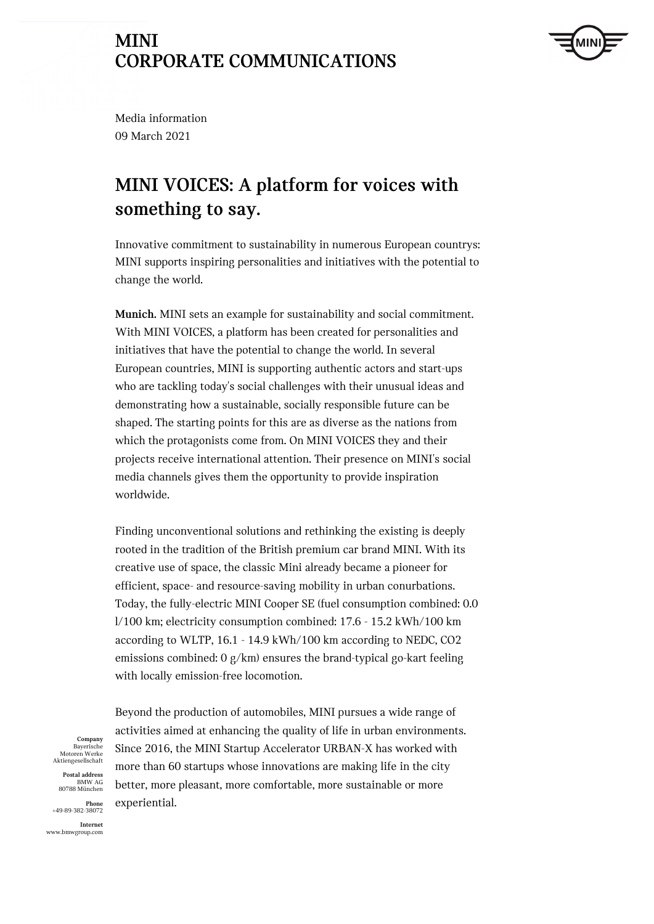

Media information 09 March 2021

# **MINI VOICES: A platform for voices with something to say.**

Innovative commitment to sustainability in numerous European countrys: MINI supports inspiring personalities and initiatives with the potential to change the world.

**Munich.** MINI sets an example for sustainability and social commitment. With MINI VOICES, a platform has been created for personalities and initiatives that have the potential to change the world. In several European countries, MINI is supporting authentic actors and start-ups who are tackling today's social challenges with their unusual ideas and demonstrating how a sustainable, socially responsible future can be shaped. The starting points for this are as diverse as the nations from which the protagonists come from. On MINI VOICES they and their projects receive international attention. Their presence on MINI's social media channels gives them the opportunity to provide inspiration worldwide.

Finding unconventional solutions and rethinking the existing is deeply rooted in the tradition of the British premium car brand MINI. With its creative use of space, the classic Mini already became a pioneer for efficient, space- and resource-saving mobility in urban conurbations. Today, the fully-electric MINI Cooper SE (fuel consumption combined: 0.0 l/100 km; electricity consumption combined: 17.6 - 15.2 kWh/100 km according to WLTP, 16.1 - 14.9 kWh/100 km according to NEDC, CO2 emissions combined: 0 g/km) ensures the brand-typical go-kart feeling with locally emission-free locomotion.

**Company** Bayerische Motoren Werke Aktiengesellschaft

**Postal address** BMW AG 80788 München

**Phone** +49-89-382-38072 **Internet**

www.bmwgroup.com

Beyond the production of automobiles, MINI pursues a wide range of activities aimed at enhancing the quality of life in urban environments. Since 2016, the MINI Startup Accelerator URBAN-X has worked with more than 60 startups whose innovations are making life in the city better, more pleasant, more comfortable, more sustainable or more experiential.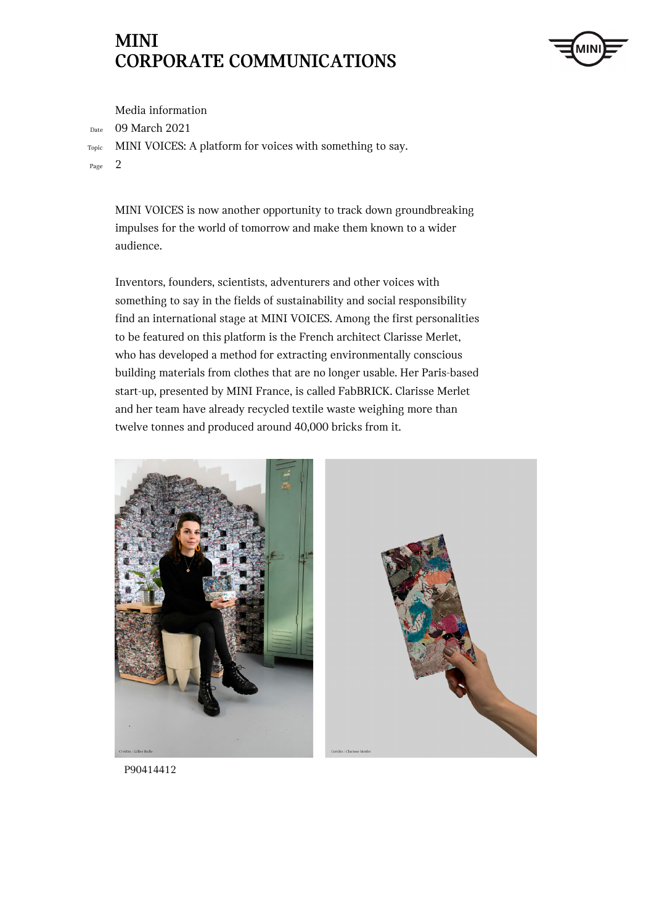

Media information

Date 09 March 2021

Topic MINI VOICES: A platform for voices with something to say.

Page 2

MINI VOICES is now another opportunity to track down groundbreaking impulses for the world of tomorrow and make them known to a wider audience.

Inventors, founders, scientists, adventurers and other voices with something to say in the fields of sustainability and social responsibility find an international stage at MINI VOICES. Among the first personalities to be featured on this platform is the French architect Clarisse Merlet, who has developed a method for extracting environmentally conscious building materials from clothes that are no longer usable. Her Paris-based start-up, presented by MINI France, is called FabBRICK. Clarisse Merlet and her team have already recycled textile waste weighing more than twelve tonnes and produced around 40,000 bricks from it.



P90414412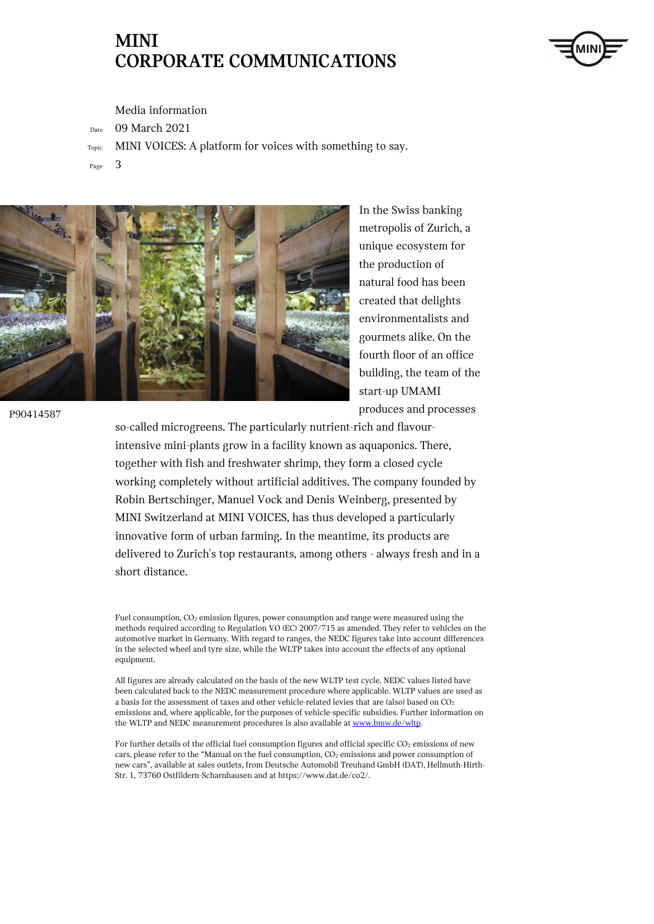

Media information

Date 09 March 2021

- Topic MINI VOICES: A platform for voices with something to say.
- Page 3



In the Swiss banking metropolis of Zurich, a unique ecosystem for the production of natural food has been created that delights environmentalists and gourmets alike. On the fourth floor of an office building, the team of the start-up UMAMI produces and processes

so-called microgreens. The particularly nutrient-rich and flavourintensive mini-plants grow in a facility known as aquaponics. There, together with fish and freshwater shrimp, they form a closed cycle working completely without artificial additives. The company founded by Robin Bertschinger, Manuel Vock and Denis Weinberg, presented by MINI Switzerland at MINI VOICES, has thus developed a particularly innovative form of urban farming. In the meantime, its products are delivered to Zurich's top restaurants, among others - always fresh and in a short distance.

Fuel consumption, CO<sub>2</sub> emission figures, power consumption and range were measured using the methods required according to Regulation VO (EC) 2007/715 as amended. They refer to vehicles on the automotive market in Germany. With regard to ranges, the NEDC figures take into account differences in the selected wheel and tyre size, while the WLTP takes into account the effects of any optional equipment.

All figures are already calculated on the basis of the new WLTP test cycle. NEDC values listed have been calculated back to the NEDC measurement procedure where applicable. WLTP values are used as a basis for the assessment of taxes and other vehicle-related levies that are (also) based on CO<sub>2</sub> emissions and, where applicable, for the purposes of vehicle-specific subsidies. Further information on the WLTP and NEDC measurement procedures is also available a[t www.bmw.de/wltp](http://www.bmw.de/wltp).

For further details of the official fuel consumption figures and official specific  $CO<sub>2</sub>$  emissions of new cars, please refer to the "Manual on the fuel consumption, CO<sub>2</sub> emissions and power consumption of new cars", available at sales outlets, from Deutsche Automobil Treuhand GmbH (DAT), Hellmuth-Hirth-Str. 1, 73760 Ostfildern-Scharnhausen and at https://www.dat.de/co2/.

P90414587